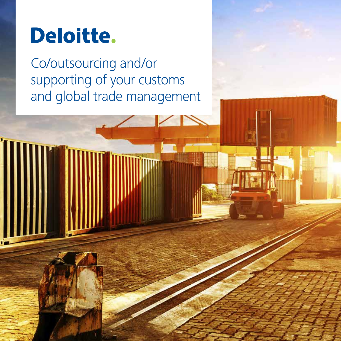# Deloitte.

Co/outsourcing and/or supporting of your customs and global trade management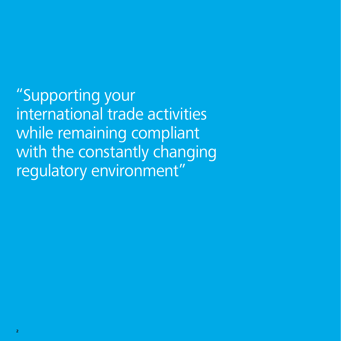"Supporting your international trade activities while remaining compliant with the constantly changing regulatory environment"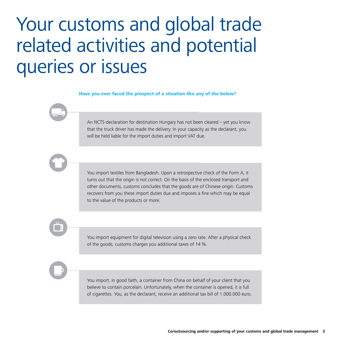## Your customs and global trade related activities and potential queries or issues

**Have you ever faced the prospect of a situation like any of the below?** 

An NCTS-declaration for destination Hungary has not been cleared – yet you know that the truck driver has made the delivery. In your capacity as the declarant, you will be held liable for the import duties and import VAT due.

You import textiles from Bangladesh. Upon a retrospective check of the Form A, it turns out that the origin is not correct. On the basis of the enclosed transport and other documents, customs concludes that the goods are of Chinese origin. Customs recovers from you these import duties due and imposes a fine which may be equal to the value of the products or more.

You import equipment for digital television using a zero rate. After a physical check of the goods, customs charges you additional taxes of 14 %.

You import, in good faith, a container from China on behalf of your client that you believe to contain porcelain. Unfortunately, when the container is opened, it is full of cigarettes. You, as the declarant, receive an additional tax bill of 1.000.000 euro.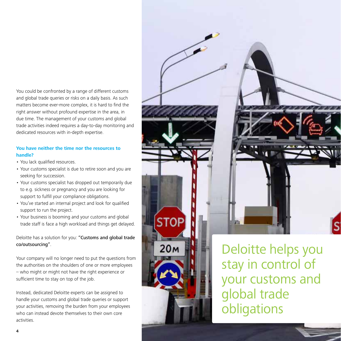You could be confronted by a range of different customs and global trade queries or risks on a daily basis. As such matters become ever-more complex, it is hard to find the right answer without profound expertise in the area, in due time. The management of your customs and global trade activities indeed requires a day-to-day monitoring and dedicated resources with in-depth expertise.

### **You have neither the time nor the resources to handle?**

- You lack qualified resources.
- Your customs specialist is due to retire soon and you are seeking for succession.
- Your customs specialist has dropped out temporarily due to e.g. sickness or pregnancy and you are looking for support to fulfill your compliance obligations.
- You've started an internal project and look for qualified support to run the project.
- Your business is booming and your customs and global trade staff is face a high workload and things get delayed.

Deloitte has a solution for you: "Customs and global trade co/outsourcing".

Your company will no longer need to put the questions from the authorities on the shoulders of one or more employees – who might or might not have the right experience or sufficient time to stay on top of the job.

Instead, dedicated Deloitte experts can be assigned to handle your customs and global trade queries or support your activities, removing the burden from your employees who can instead devote themselves to their own core activities.



global trade obligations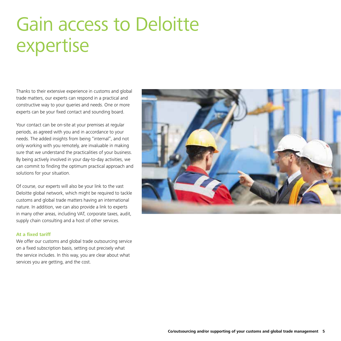## Gain access to Deloitte expertise

Thanks to their extensive experience in customs and global trade matters, our experts can respond in a practical and constructive way to your queries and needs. One or more experts can be your fixed contact and sounding board.

Your contact can be on-site at your premises at regular periods, as agreed with you and in accordance to your needs. The added insights from being "internal", and not only working with you remotely, are invaluable in making sure that we understand the practicalities of your business. By being actively involved in your day-to-day activities, we can commit to finding the optimum practical approach and solutions for your situation.

Of course, our experts will also be your link to the vast Deloitte global network, which might be required to tackle customs and global trade matters having an international nature. In addition, we can also provide a link to experts in many other areas, including VAT, corporate taxes, audit, supply chain consulting and a host of other services.

### **At a fixed tariff**

We offer our customs and global trade outsourcing service on a fixed subscription basis, setting out precisely what the service includes. In this way, you are clear about what services you are getting, and the cost.

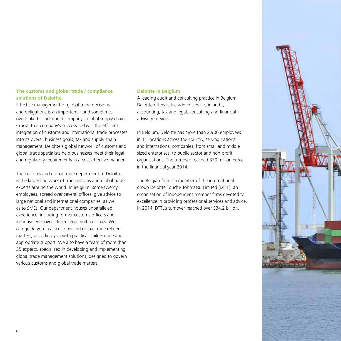### **The customs and global trade / compliance solutions of Deloitte**

Effective management of global trade decisions and obligations is an important – and sometimes overlooked – factor in a company's global supply chain. Crucial to a company's success today is the efficient integration of customs and international trade processes into its overall business goals, tax and supply chain management. Deloitte's global network of customs and global trade specialists help businesses meet their legal and regulatory requirements in a cost-effective manner.

The customs and global trade department of Deloitte is the largest network of true customs and global trade experts around the world. In Belgium, some twenty employees, spread over several offices, give advice to large national and international companies, as well as to SMEs. Our department houses unparalleled experience, including former customs officers and in-house employees from large multinationals. We can guide you in all customs and global trade related matters, providing you with practical, tailor-made and appropriate support. We also have a team of more than 35 experts, specialized in developing and implementing global trade management solutions, designed to govern various customs and global trade matters.

### **Deloitte in Belgium**

A leading audit and consulting practice in Belgium, Deloitte offers value added services in audit, accounting, tax and legal, consulting and financial advisory services.

In Belgium, Deloitte has more than 2,900 employees in 11 locations across the country, serving national and international companies, from small and middle sized enterprises, to public sector and non-profit organisations. The turnover reached 370 million euros in the financial year 2014.

The Belgian firm is a member of the international group Deloitte Touche Tohmatsu Limited (DTTL), an organisation of independent member firms devoted to excellence in providing professional services and advice. In 2014, DTTL's turnover reached over \$34.2 billion.

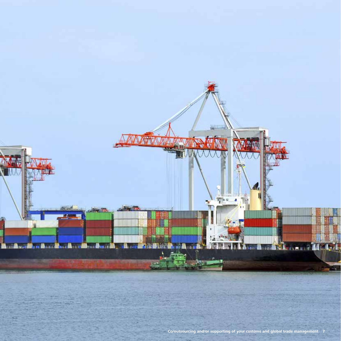